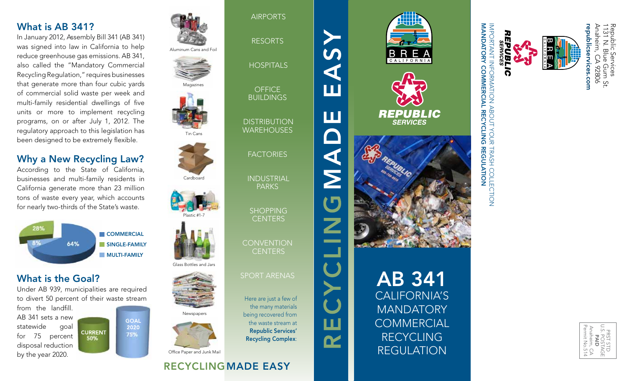#### What is AB 341?

In January 2012, Assembly Bill 341 (AB 341) was signed into law in California to help reduce greenhouse gas emissions. AB 341, also called the "Mandatory Commercial Recycling Regulation," requires businesses that generate more than four cubic yards of commercial solid waste per week and multi-family residential dwellings of five units or more to implement recycling programs, on or after July 1, 2012. The regulatory approach to this legislation has been designed to be extremely flexible.

#### Why a New Recycling Law?

According to the State of California, businesses and multi-family residents in California generate more than 23 million tons of waste every year, which accounts for nearly two-thirds of the State's waste.



#### What is the Goal?

Under AB 939, municipalities are required to divert 50 percent of their waste stream

**CURRENT** 

50%

from the landfill. AB 341 sets a new statewide goal for 75 percent disposal reduction by the year 2020.



**GOAL** 2020

75%





Aluminum Cans and Foil

AIRPORTS

RESORTS

**HOSPITALS** 

**OFFICE BUILDINGS** 

**DISTRIBUTION WAREHOUSES** 

**FACTORIES** 

Magazines

Tin Cans